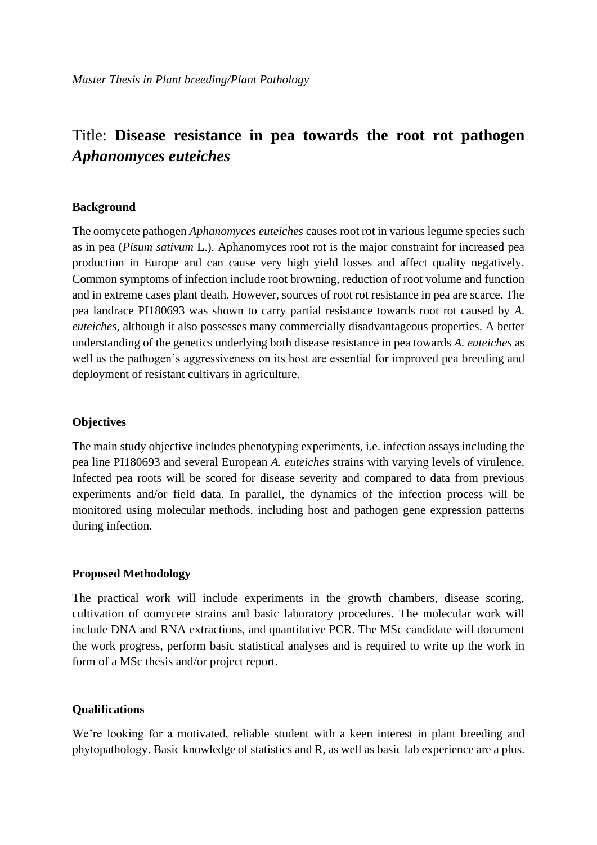# Title: **Disease resistance in pea towards the root rot pathogen**  *Aphanomyces euteiches*

#### **Background**

The oomycete pathogen *Aphanomyces euteiches* causes root rot in various legume species such as in pea (*Pisum sativum* L.). Aphanomyces root rot is the major constraint for increased pea production in Europe and can cause very high yield losses and affect quality negatively. Common symptoms of infection include root browning, reduction of root volume and function and in extreme cases plant death. However, sources of root rot resistance in pea are scarce. The pea landrace PI180693 was shown to carry partial resistance towards root rot caused by *A. euteiches*, although it also possesses many commercially disadvantageous properties. A better understanding of the genetics underlying both disease resistance in pea towards *A. euteiches* as well as the pathogen's aggressiveness on its host are essential for improved pea breeding and deployment of resistant cultivars in agriculture.

#### **Objectives**

The main study objective includes phenotyping experiments, i.e. infection assays including the pea line PI180693 and several European *A. euteiches* strains with varying levels of virulence. Infected pea roots will be scored for disease severity and compared to data from previous experiments and/or field data. In parallel, the dynamics of the infection process will be monitored using molecular methods, including host and pathogen gene expression patterns during infection.

#### **Proposed Methodology**

The practical work will include experiments in the growth chambers, disease scoring, cultivation of oomycete strains and basic laboratory procedures. The molecular work will include DNA and RNA extractions, and quantitative PCR. The MSc candidate will document the work progress, perform basic statistical analyses and is required to write up the work in form of a MSc thesis and/or project report.

### **Qualifications**

We're looking for a motivated, reliable student with a keen interest in plant breeding and phytopathology. Basic knowledge of statistics and R, as well as basic lab experience are a plus.